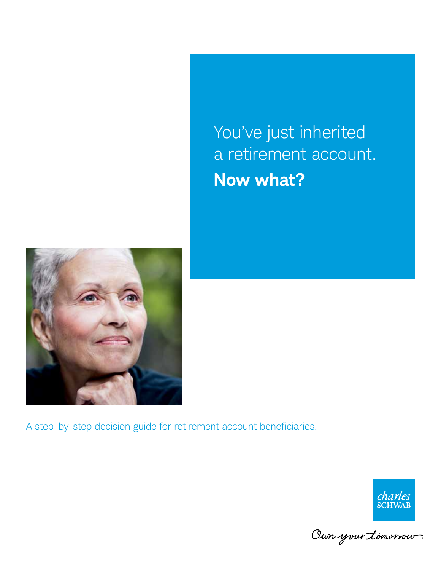You've just inherited a retirement account. **Now what?**



A step-by-step decision guide for retirement account beneficiaries.



Oun your tomorrow.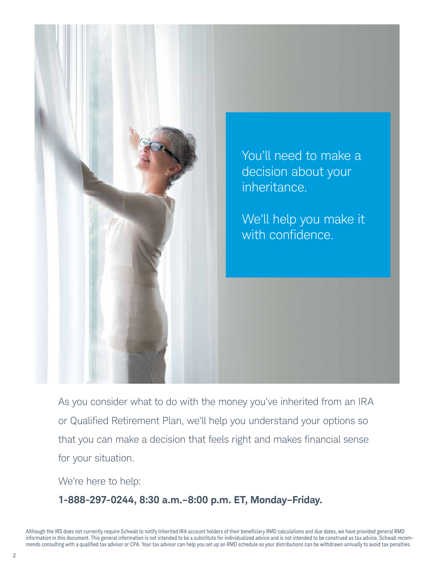

As you consider what to do with the money you've inherited from an IRA or Qualified Retirement Plan, we'll help you understand your options so that you can make a decision that feels right and makes financial sense for your situation.

We're here to help:

### **1-888-297-0244, 8:30 a.m.–8:00 p.m. ET, Monday–Friday.**

Although the IRS does not currently require Schwab to notify Inherited IRA account holders of their beneficiary RMD calculations and due dates, we have provided general RMD information in this document. This general information is not intended to be a substitute for individualized advice and is not intended to be construed as tax advice. Schwab recommends consulting with a qualified tax advisor or CPA. Your tax advisor can help you set up an RMD schedule so your distributions can be withdrawn annually to avoid tax penalties.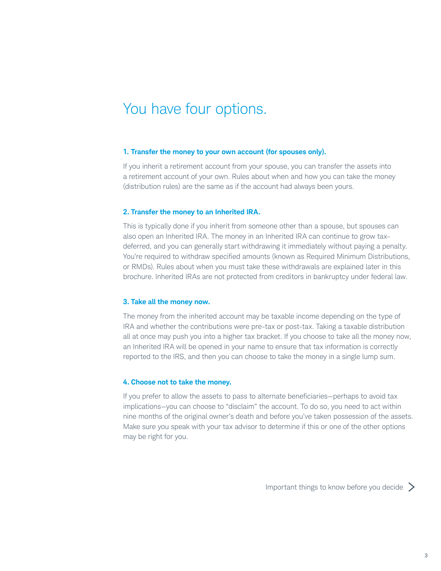### You have four options.

#### **1. Transfer the money to your own account (for spouses only).**

If you inherit a retirement account from your spouse, you can transfer the assets into a retirement account of your own. Rules about when and how you can take the money (distribution rules) are the same as if the account had always been yours.

#### **2. Transfer the money to an Inherited IRA.**

This is typically done if you inherit from someone other than a spouse, but spouses can also open an Inherited IRA. The money in an Inherited IRA can continue to grow taxdeferred, and you can generally start withdrawing it immediately without paying a penalty. You're required to withdraw specified amounts (known as Required Minimum Distributions, or RMDs). Rules about when you must take these withdrawals are explained later in this brochure. Inherited IRAs are not protected from creditors in bankruptcy under federal law.

#### **3. Take all the money now.**

The money from the inherited account may be taxable income depending on the type of IRA and whether the contributions were pre-tax or post-tax. Taking a taxable distribution all at once may push you into a higher tax bracket. If you choose to take all the money now, an Inherited IRA will be opened in your name to ensure that tax information is correctly reported to the IRS, and then you can choose to take the money in a single lump sum.

#### **4. Choose not to take the money.**

If you prefer to allow the assets to pass to alternate beneficiaries—perhaps to avoid tax implications—you can choose to "disclaim" the account. To do so, you need to act within nine months of the original owner's death and before you've taken possession of the assets. Make sure you speak with your tax advisor to determine if this or one of the other options may be right for you.

Important things to know before you decide >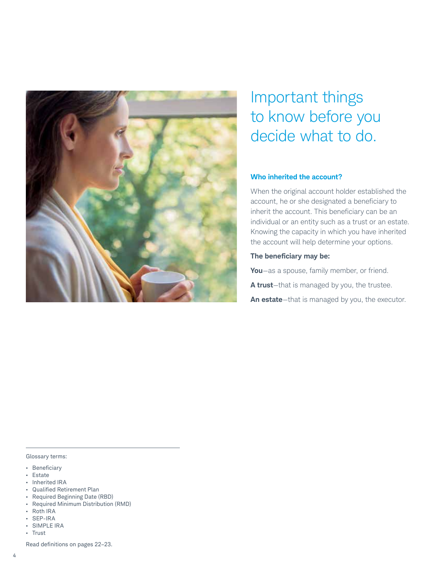

# Important things to know before you decide what to do.

### **Who inherited the account?**

When the original account holder established the account, he or she designated a beneficiary to inherit the account. This beneficiary can be an individual or an entity such as a trust or an estate. Knowing the capacity in which you have inherited the account will help determine your options.

### **The beneficiary may be:**

**You**—as a spouse, family member, or friend.

**A trust**—that is managed by you, the trustee.

**An estate**—that is managed by you, the executor.

#### Glossary terms:

- • Beneficiary
- Estate
- • Inherited IRA
- • Qualified Retirement Plan
- • Required Beginning Date (RBD)
- • Required Minimum Distribution (RMD)
- • Roth IRA • SEP-IRA
- **SIMPLE IRA**
- Trust

Read definitions on pages 22–23.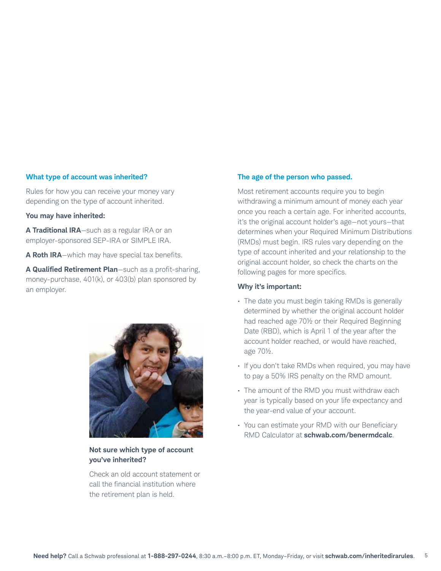### **What type of account was inherited?**

Rules for how you can receive your money vary depending on the type of account inherited.

#### **You may have inherited:**

**A Traditional IRA**—such as a regular IRA or an employer-sponsored SEP-IRA or SIMPLE IRA.

**A Roth IRA**—which may have special tax benefits.

**A Qualified Retirement Plan**—such as a profit-sharing, money-purchase, 401(k), or 403(b) plan sponsored by an employer.



### **Not sure which type of account you've inherited?**

Check an old account statement or call the financial institution where the retirement plan is held.

### **The age of the person who passed.**

Most retirement accounts require you to begin withdrawing a minimum amount of money each year once you reach a certain age. For inherited accounts, it's the original account holder's age—not yours—that determines when your Required Minimum Distributions (RMDs) must begin. IRS rules vary depending on the type of account inherited and your relationship to the original account holder, so check the charts on the following pages for more specifics.

### **Why it's important:**

- The date you must begin taking RMDs is generally determined by whether the original account holder had reached age 70½ or their Required Beginning Date (RBD), which is April 1 of the year after the account holder reached, or would have reached, age 70½.
- If you don't take RMDs when required, you may have to pay a 50% IRS penalty on the RMD amount.
- The amount of the RMD you must withdraw each year is typically based on your life expectancy and the year-end value of your account.
- You can estimate your RMD with our Beneficiary RMD Calculator at **schwab.com/benermdcalc**.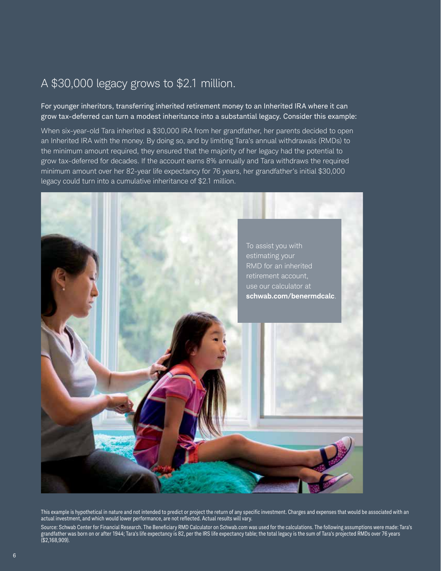### A \$30,000 legacy grows to \$2.1 million.

For younger inheritors, transferring inherited retirement money to an Inherited IRA where it can grow tax-deferred can turn a modest inheritance into a substantial legacy. Consider this example:

When six-year-old Tara inherited a \$30,000 IRA from her grandfather, her parents decided to open an Inherited IRA with the money. By doing so, and by limiting Tara's annual withdrawals (RMDs) to the minimum amount required, they ensured that the majority of her legacy had the potential to grow tax-deferred for decades. If the account earns 8% annually and Tara withdraws the required minimum amount over her 82-year life expectancy for 76 years, her grandfather's initial \$30,000 legacy could turn into a cumulative inheritance of \$2.1 million.



This example is hypothetical in nature and not intended to predict or project the return of any specific investment. Charges and expenses that would be associated with an actual investment, and which would lower performance, are not reflected. Actual results will vary.

Source: Schwab Center for Financial Research. The Beneficiary RMD Calculator on Schwab.com was used for the calculations. The following assumptions were made: Tara's grandfather was born on or after 1944; Tara's life expectancy is 82, per the IRS life expectancy table; the total legacy is the sum of Tara's projected RMDs over 76 years (\$2,168,909).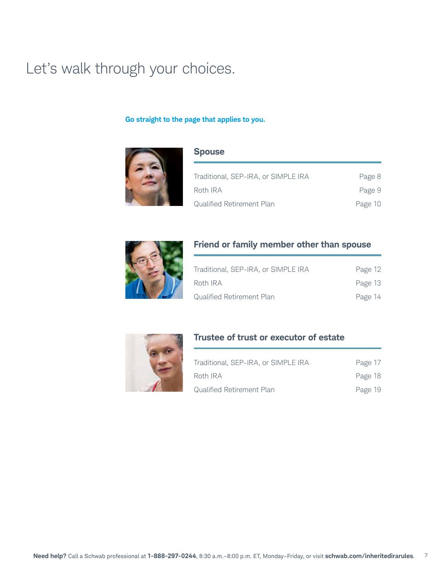### Let's walk through your choices.

### **Go straight to the page that applies to you.**



### **Spouse**

| Traditional, SEP-IRA, or SIMPLE IRA | Page 8  |
|-------------------------------------|---------|
| Roth IRA                            | Page 9  |
| Qualified Retirement Plan           | Page 10 |



### **Friend or family member other than spouse**

| Traditional, SEP-IRA, or SIMPLE IRA | Page 12 |
|-------------------------------------|---------|
| Roth IRA                            | Page 13 |
| Qualified Retirement Plan           | Page 14 |



### **Trustee of trust or executor of estate**

| Traditional, SEP-IRA, or SIMPLE IRA | Page 17 |
|-------------------------------------|---------|
| Roth IRA                            | Page 18 |
| <b>Qualified Retirement Plan</b>    | Page 19 |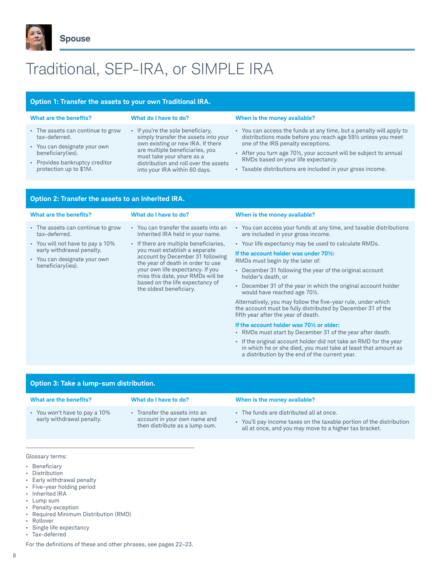

# Traditional, SEP-IRA, or SIMPLE IRA

### **Option 1: Transfer the assets to your own Traditional IRA.**

| What are the benefits?                            | What do I have to do?                                                                             | When is the money available?                                                                             |
|---------------------------------------------------|---------------------------------------------------------------------------------------------------|----------------------------------------------------------------------------------------------------------|
| • The assets can continue to grow                 | • If you're the sole beneficiary,                                                                 | • You can access the funds at any time, but a penalty will apply to                                      |
| tax-deferred.                                     | simply transfer the assets into your                                                              | distributions made before you reach age 591/2 unless you meet                                            |
| • You can designate your own<br>beneficiary(ies). | own existing or new IRA. If there<br>are multiple beneficiaries, you<br>must take your share as a | one of the IRS penalty exceptions.<br>- After you turn age 701/2, your account will be subject to annual |
| • Provides bankruptcy creditor                    | distribution and roll over the assets                                                             | RMDs based on your life expectancy.                                                                      |
| protection up to \$1M.                            | into your IRA within 60 days.                                                                     | Taxable distributions are included in your gross income.                                                 |

| Option 2: Transfer the assets to an Inherited IRA.                                                                                                                       |                                                                                                                                                                                                                                                                                                                                                                      |                                                                                                                                                                                                                                                                                                                                                                                                                                                                                                                                                                                                                                                                                                                                                                                                                      |  |
|--------------------------------------------------------------------------------------------------------------------------------------------------------------------------|----------------------------------------------------------------------------------------------------------------------------------------------------------------------------------------------------------------------------------------------------------------------------------------------------------------------------------------------------------------------|----------------------------------------------------------------------------------------------------------------------------------------------------------------------------------------------------------------------------------------------------------------------------------------------------------------------------------------------------------------------------------------------------------------------------------------------------------------------------------------------------------------------------------------------------------------------------------------------------------------------------------------------------------------------------------------------------------------------------------------------------------------------------------------------------------------------|--|
| What are the benefits?                                                                                                                                                   | What do I have to do?                                                                                                                                                                                                                                                                                                                                                | When is the money available?                                                                                                                                                                                                                                                                                                                                                                                                                                                                                                                                                                                                                                                                                                                                                                                         |  |
| - The assets can continue to grow<br>tax-deferred.<br>• You will not have to pay a 10%<br>early withdrawal penalty.<br>• You can designate your own<br>beneficiary(ies). | • You can transfer the assets into an<br>Inherited IRA held in your name.<br>• If there are multiple beneficiaries,<br>you must establish a separate<br>account by December 31 following<br>the year of death in order to use<br>your own life expectancy. If you<br>miss this date, your RMDs will be<br>based on the life expectancy of<br>the oldest beneficiary. | • You can access your funds at any time, and taxable distributions<br>are included in your gross income.<br>• Your life expectancy may be used to calculate RMDs.<br>If the account holder was under 701/ <sub>2</sub> :<br>RMDs must begin by the later of:<br>• December 31 following the year of the original account<br>holder's death, or<br>• December 31 of the year in which the original account holder<br>would have reached age 70 <sup>1/2</sup> .<br>Alternatively, you may follow the five-year rule, under which<br>the account must be fully distributed by December 31 of the<br>fifth year after the year of death.<br>If the account holder was 701/2 or older:<br>• RMDs must start by December 31 of the year after death.<br>. If the original account holder did not take an RMD for the year |  |
|                                                                                                                                                                          |                                                                                                                                                                                                                                                                                                                                                                      | in which he or she died, you must take at least that amount as<br>a distribution by the end of the current year.                                                                                                                                                                                                                                                                                                                                                                                                                                                                                                                                                                                                                                                                                                     |  |

| Option 3: Take a lump-sum distribution.                    |                                                                                               |                                                                                                                                                                            |
|------------------------------------------------------------|-----------------------------------------------------------------------------------------------|----------------------------------------------------------------------------------------------------------------------------------------------------------------------------|
| What are the benefits?                                     | What do I have to do?                                                                         | When is the money available?                                                                                                                                               |
| • You won't have to pay a 10%<br>early withdrawal penalty. | Transfer the assets into an<br>account in your own name and<br>then distribute as a lump sum. | • The funds are distributed all at once.<br>• You'll pay income taxes on the taxable portion of the distribution<br>all at once, and you may move to a higher tax bracket. |
|                                                            |                                                                                               |                                                                                                                                                                            |

#### Glossary terms:

- • Beneficiary
- • Distribution
- • Early withdrawal penalty
- • Five-year holding period
- • Inherited IRA
- • Lump sum
- • Penalty exception
- • Required Minimum Distribution (RMD)
- • Rollover
- • Single life expectancy
- • Tax-deferred

For the definitions of these and other phrases, see pages 22–23.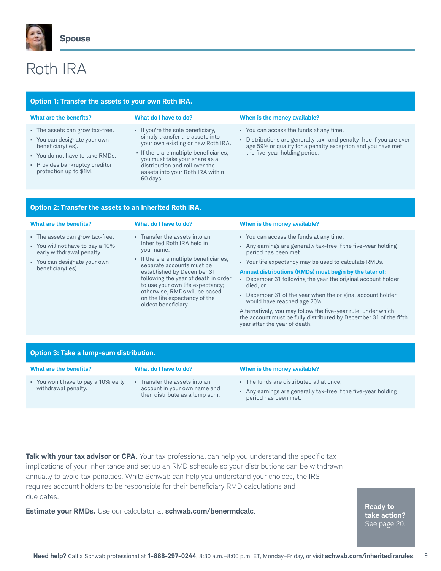

**Option 2: Transfer the assets to an Inherited Roth IRA.**

# Roth IRA

| Option 1: Transfer the assets to your own Roth IRA.                                                                                                                                 |                                                                                                                                                                                                                                                                         |                                                                                                                                                                                                                |
|-------------------------------------------------------------------------------------------------------------------------------------------------------------------------------------|-------------------------------------------------------------------------------------------------------------------------------------------------------------------------------------------------------------------------------------------------------------------------|----------------------------------------------------------------------------------------------------------------------------------------------------------------------------------------------------------------|
| What are the benefits?                                                                                                                                                              | What do I have to do?                                                                                                                                                                                                                                                   | When is the money available?                                                                                                                                                                                   |
| • The assets can grow tax-free.<br>• You can designate your own<br>beneficiary(ies).<br>• You do not have to take RMDs.<br>• Provides bankruptcy creditor<br>protection up to \$1M. | • If you're the sole beneficiary,<br>simply transfer the assets into<br>your own existing or new Roth IRA.<br>• If there are multiple beneficiaries,<br>you must take your share as a<br>distribution and roll over the<br>assets into your Roth IRA within<br>60 days. | • You can access the funds at any time.<br>Distributions are generally tax- and penalty-free if you are over<br>age 591/2 or qualify for a penalty exception and you have met<br>the five-year holding period. |
|                                                                                                                                                                                     |                                                                                                                                                                                                                                                                         |                                                                                                                                                                                                                |

| What are the benefits?                                                                                                                                | What do I have to do?                                                                                                                                                                                                                                                                                                                               | When is the money available?                                                                                                                                                                                                                                                                                                                                                                                                                                                                                                                                                                          |
|-------------------------------------------------------------------------------------------------------------------------------------------------------|-----------------------------------------------------------------------------------------------------------------------------------------------------------------------------------------------------------------------------------------------------------------------------------------------------------------------------------------------------|-------------------------------------------------------------------------------------------------------------------------------------------------------------------------------------------------------------------------------------------------------------------------------------------------------------------------------------------------------------------------------------------------------------------------------------------------------------------------------------------------------------------------------------------------------------------------------------------------------|
|                                                                                                                                                       |                                                                                                                                                                                                                                                                                                                                                     |                                                                                                                                                                                                                                                                                                                                                                                                                                                                                                                                                                                                       |
| • The assets can grow tax-free.<br>• You will not have to pay a 10%<br>early withdrawal penalty.<br>• You can designate your own<br>beneficiary(ies). | - Transfer the assets into an<br>Inherited Roth IRA held in<br>your name.<br>• If there are multiple beneficiaries,<br>separate accounts must be<br>established by December 31<br>following the year of death in order<br>to use your own life expectancy;<br>otherwise, RMDs will be based<br>on the life expectancy of the<br>oldest beneficiary. | • You can access the funds at any time.<br>- Any earnings are generally tax-free if the five-year holding<br>period has been met.<br>• Your life expectancy may be used to calculate RMDs.<br>Annual distributions (RMDs) must begin by the later of:<br>December 31 following the year the original account holder<br>died. or<br>• December 31 of the year when the original account holder<br>would have reached age 701/2.<br>Alternatively, you may follow the five-year rule, under which<br>the account must be fully distributed by December 31 of the fifth<br>year after the year of death. |

| Option 3: Take a lump-sum distribution.                    |                                                                                                 |                                                                                                                                |
|------------------------------------------------------------|-------------------------------------------------------------------------------------------------|--------------------------------------------------------------------------------------------------------------------------------|
| What are the benefits?                                     | What do I have to do?                                                                           | When is the money available?                                                                                                   |
| • You won't have to pay a 10% early<br>withdrawal penalty. | - Transfer the assets into an<br>account in your own name and<br>then distribute as a lump sum. | The funds are distributed all at once.<br>Any earnings are generally tax-free if the five-year holding<br>period has been met. |

**Talk with your tax advisor or CPA.** Your tax professional can help you understand the specific tax implications of your inheritance and set up an RMD schedule so your distributions can be withdrawn annually to avoid tax penalties. While Schwab can help you understand your choices, the IRS requires account holders to be responsible for their beneficiary RMD calculations and due dates.

**Estimate your RMDs.** Use our calculator at **schwab.com/benermdcalc**. **Ready to a schwabenerm of the seties** 

**take action?** See page 20.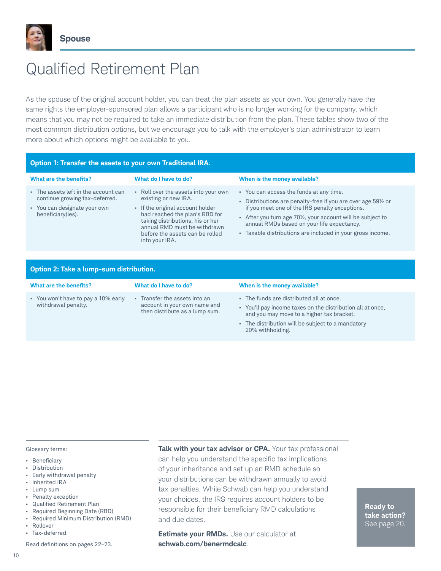

# Qualified Retirement Plan

As the spouse of the original account holder, you can treat the plan assets as your own. You generally have the same rights the employer-sponsored plan allows a participant who is no longer working for the company, which means that you may not be required to take an immediate distribution from the plan. These tables show two of the most common distribution options, but we encourage you to talk with the employer's plan administrator to learn more about which options might be available to you.

#### **Option 1: Transfer the assets to your own Traditional IRA. What are the benefits? What do I have to do? When is the money available?** • The assets left in the account can continue growing tax-deferred. • You can designate your own beneficiary(ies). • Roll over the assets into your own existing or new IRA. • If the original account holder had reached the plan's RBD for taking distributions, his or her annual RMD must be withdrawn before the assets can be rolled into your IRA. • You can access the funds at any time. • Distributions are penalty-free if you are over age 59½ or if you meet one of the IRS penalty exceptions. • After you turn age 70½, your account will be subject to annual RMDs based on your life expectancy. • Taxable distributions are included in your gross income.

| Option 2: Take a lump-sum distribution.                    |                                                                                               |                                                                                                                                                 |
|------------------------------------------------------------|-----------------------------------------------------------------------------------------------|-------------------------------------------------------------------------------------------------------------------------------------------------|
| What are the benefits?                                     | What do I have to do?                                                                         | When is the money available?                                                                                                                    |
| • You won't have to pay a 10% early<br>withdrawal penalty. | Transfer the assets into an<br>account in your own name and<br>then distribute as a lump sum. | The funds are distributed all at once.<br>You'll pay income taxes on the distribution all at once,<br>and you may move to a higher tax bracket. |

• The distribution will be subject to a mandatory 20% withholding.

- Glossary terms:
- • Beneficiary
- **Distribution**
- Early withdrawal penalty
- • Inherited IRA
- • Lump sum
- • Penalty exception
- • Qualified Retirement Plan
- • Required Beginning Date (RBD)
- • Required Minimum Distribution (RMD) **Rollover**
- Tax-deferred

Read definitions on pages 22–23.

10

**Talk with your tax advisor or CPA.** Your tax professional can help you understand the specific tax implications of your inheritance and set up an RMD schedule so your distributions can be withdrawn annually to avoid tax penalties. While Schwab can help you understand your choices, the IRS requires account holders to be responsible for their beneficiary RMD calculations and due dates.

**Estimate your RMDs.** Use our calculator at **schwab.com/benermdcalc**.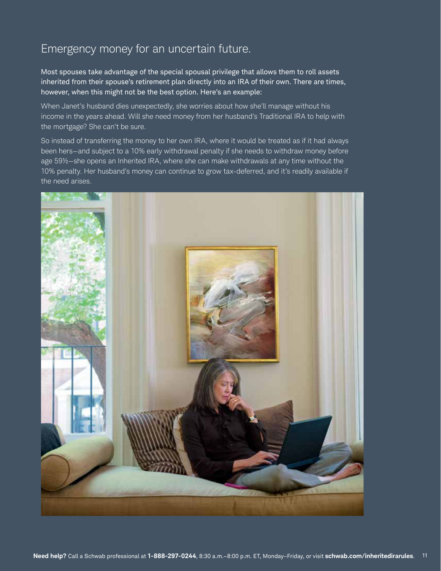### Emergency money for an uncertain future.

Most spouses take advantage of the special spousal privilege that allows them to roll assets inherited from their spouse's retirement plan directly into an IRA of their own. There are times, however, when this might not be the best option. Here's an example:

When Janet's husband dies unexpectedly, she worries about how she'll manage without his income in the years ahead. Will she need money from her husband's Traditional IRA to help with the mortgage? She can't be sure.

So instead of transferring the money to her own IRA, where it would be treated as if it had always been hers—and subject to a 10% early withdrawal penalty if she needs to withdraw money before age 59½—she opens an Inherited IRA, where she can make withdrawals at any time without the 10% penalty. Her husband's money can continue to grow tax-deferred, and it's readily available if the need arises.

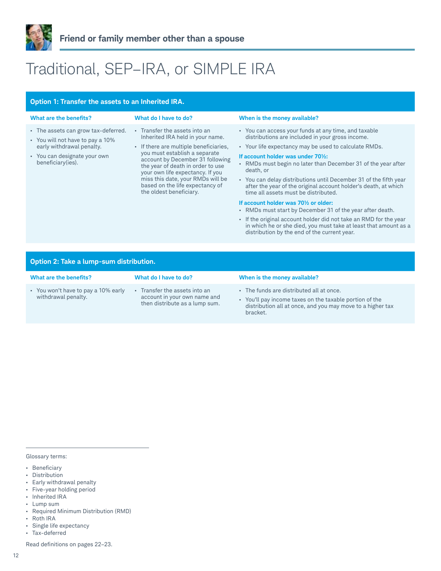

# Traditional, SEP–IRA, or SIMPLE IRA

| Option 1: Transfer the assets to an Inherited IRA.                                                                                                        |                                                                                                                                                                                                                                                                                                                                                              |                                                                                                                                                                                                                                                                                                                                                                                                                                                                                                                                                                                                                                                                                                                                                                      |
|-----------------------------------------------------------------------------------------------------------------------------------------------------------|--------------------------------------------------------------------------------------------------------------------------------------------------------------------------------------------------------------------------------------------------------------------------------------------------------------------------------------------------------------|----------------------------------------------------------------------------------------------------------------------------------------------------------------------------------------------------------------------------------------------------------------------------------------------------------------------------------------------------------------------------------------------------------------------------------------------------------------------------------------------------------------------------------------------------------------------------------------------------------------------------------------------------------------------------------------------------------------------------------------------------------------------|
| What are the benefits?                                                                                                                                    | What do I have to do?                                                                                                                                                                                                                                                                                                                                        | When is the money available?                                                                                                                                                                                                                                                                                                                                                                                                                                                                                                                                                                                                                                                                                                                                         |
| . The assets can grow tax-deferred.<br>• You will not have to pay a 10%<br>early withdrawal penalty.<br>• You can designate your own<br>beneficiary(ies). | - Transfer the assets into an<br>Inherited IRA held in your name.<br>• If there are multiple beneficiaries,<br>you must establish a separate<br>account by December 31 following<br>the year of death in order to use<br>your own life expectancy. If you<br>miss this date, your RMDs will be<br>based on the life expectancy of<br>the oldest beneficiary. | • You can access your funds at any time, and taxable<br>distributions are included in your gross income.<br>• Your life expectancy may be used to calculate RMDs.<br>If account holder was under 701/2:<br>• RMDs must begin no later than December 31 of the year after<br>death, or<br>• You can delay distributions until December 31 of the fifth year<br>after the year of the original account holder's death, at which<br>time all assets must be distributed.<br>If account holder was 701/2 or older:<br>• RMDs must start by December 31 of the year after death.<br>. If the original account holder did not take an RMD for the year<br>in which he or she died, you must take at least that amount as a<br>distribution by the end of the current year. |
| Option 2: Take a lump-sum distribution.                                                                                                                   |                                                                                                                                                                                                                                                                                                                                                              |                                                                                                                                                                                                                                                                                                                                                                                                                                                                                                                                                                                                                                                                                                                                                                      |
| What are the benefits?                                                                                                                                    | What do I have to do?                                                                                                                                                                                                                                                                                                                                        | When is the money available?                                                                                                                                                                                                                                                                                                                                                                                                                                                                                                                                                                                                                                                                                                                                         |

- • You won't have to pay a 10% early withdrawal penalty.
	- • Transfer the assets into an account in your own name and then distribute as a lump sum.
- • The funds are distributed all at once.
- • You'll pay income taxes on the taxable portion of the distribution all at once, and you may move to a higher tax bracket.

Glossary terms:

- • Beneficiary
- • Distribution
- • Early withdrawal penalty
- • Five-year holding period
- • Inherited IRA
- • Lump sum
- • Required Minimum Distribution (RMD)
- • Roth IRA
- • Single life expectancy
- • Tax-deferred

Read definitions on pages 22–23.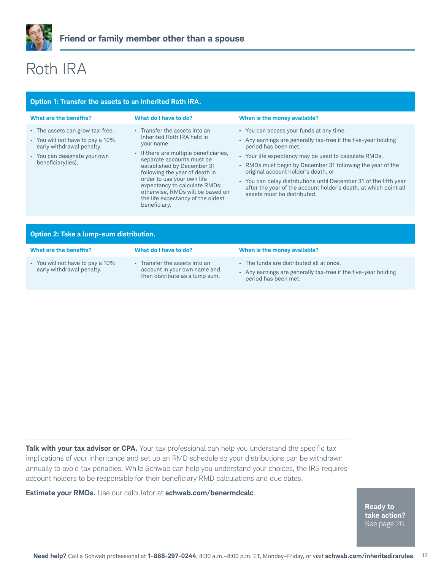

# Roth IRA

### **Option 1: Transfer the assets to an Inherited Roth IRA.**

| What are the benefits?                                                                                                                                | What do I have to do?                                                                                                                                                                                                                                                                                                                                                    | When is the money available?                                                                                                                                                                                                                                                                                                                                                                                                                                                           |
|-------------------------------------------------------------------------------------------------------------------------------------------------------|--------------------------------------------------------------------------------------------------------------------------------------------------------------------------------------------------------------------------------------------------------------------------------------------------------------------------------------------------------------------------|----------------------------------------------------------------------------------------------------------------------------------------------------------------------------------------------------------------------------------------------------------------------------------------------------------------------------------------------------------------------------------------------------------------------------------------------------------------------------------------|
| • The assets can grow tax-free.<br>• You will not have to pay a 10%<br>early withdrawal penalty.<br>• You can designate your own<br>beneficiary(ies). | • Transfer the assets into an<br>Inherited Roth IRA held in<br>your name.<br>• If there are multiple beneficiaries,<br>separate accounts must be<br>established by December 31<br>following the year of death in<br>order to use your own life<br>expectancy to calculate RMDs;<br>otherwise, RMDs will be based on<br>the life expectancy of the oldest<br>beneficiary. | • You can access your funds at any time.<br>Any earnings are generally tax-free if the five-year holding<br>period has been met.<br>Your life expectancy may be used to calculate RMDs.<br>$\mathbf{a}$ .<br>• RMDs must begin by December 31 following the year of the<br>original account holder's death, or<br>• You can delay distributions until December 31 of the fifth year<br>after the year of the account holder's death, at which point all<br>assets must be distributed. |
|                                                                                                                                                       |                                                                                                                                                                                                                                                                                                                                                                          |                                                                                                                                                                                                                                                                                                                                                                                                                                                                                        |

| Option 2: Take a lump-sum distribution.                       |                                                                                                 |                                                                                                                                  |
|---------------------------------------------------------------|-------------------------------------------------------------------------------------------------|----------------------------------------------------------------------------------------------------------------------------------|
| What are the benefits?                                        | What do I have to do?                                                                           | When is the money available?                                                                                                     |
| • You will not have to pay a 10%<br>early withdrawal penalty. | • Transfer the assets into an<br>account in your own name and<br>then distribute as a lump sum. | • The funds are distributed all at once.<br>Any earnings are generally tax-free if the five-year holding<br>period has been met. |

**Talk with your tax advisor or CPA.** Your tax professional can help you understand the specific tax implications of your inheritance and set up an RMD schedule so your distributions can be withdrawn annually to avoid tax penalties. While Schwab can help you understand your choices, the IRS requires account holders to be responsible for their beneficiary RMD calculations and due dates.

**Estimate your RMDs.** Use our calculator at **schwab.com/benermdcalc**.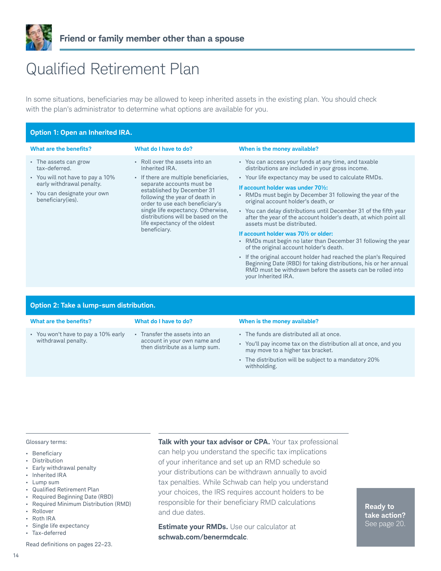

### Qualified Retirement Plan

In some situations, beneficiaries may be allowed to keep inherited assets in the existing plan. You should check with the plan's administrator to determine what options are available for you.

| <b>Option 1: Open an Inherited IRA.</b>                                                                                                                      |                                                                                                                                                                                                                                                                                                                                                         |                                                                                                                                                                                                                                                                                                                                                                                                                                                                                                                                                                                                                                                                                                                                                                                                                                                                       |  |
|--------------------------------------------------------------------------------------------------------------------------------------------------------------|---------------------------------------------------------------------------------------------------------------------------------------------------------------------------------------------------------------------------------------------------------------------------------------------------------------------------------------------------------|-----------------------------------------------------------------------------------------------------------------------------------------------------------------------------------------------------------------------------------------------------------------------------------------------------------------------------------------------------------------------------------------------------------------------------------------------------------------------------------------------------------------------------------------------------------------------------------------------------------------------------------------------------------------------------------------------------------------------------------------------------------------------------------------------------------------------------------------------------------------------|--|
| What are the benefits?                                                                                                                                       | What do I have to do?                                                                                                                                                                                                                                                                                                                                   | When is the money available?                                                                                                                                                                                                                                                                                                                                                                                                                                                                                                                                                                                                                                                                                                                                                                                                                                          |  |
| • The assets can grow<br>tax-deferred.<br>• You will not have to pay a 10%<br>early withdrawal penalty.<br>• You can designate your own<br>beneficiary(ies). | • Roll over the assets into an<br>Inherited IRA.<br>• If there are multiple beneficiaries,<br>separate accounts must be<br>established by December 31<br>following the year of death in<br>order to use each beneficiary's<br>single life expectancy. Otherwise,<br>distributions will be based on the<br>life expectancy of the oldest<br>beneficiary. | • You can access your funds at any time, and taxable<br>distributions are included in your gross income.<br>• Your life expectancy may be used to calculate RMDs.<br>If account holder was under 70%:<br>• RMDs must begin by December 31 following the year of the<br>original account holder's death, or<br>• You can delay distributions until December 31 of the fifth year<br>after the year of the account holder's death, at which point all<br>assets must be distributed.<br>If account holder was 701/2 or older:<br>• RMDs must begin no later than December 31 following the year<br>of the original account holder's death.<br>. If the original account holder had reached the plan's Required<br>Beginning Date (RBD) for taking distributions, his or her annual<br>RMD must be withdrawn before the assets can be rolled into<br>your Inherited IRA. |  |

### **Option 2: Take a lump-sum distribution.**

| What are the benefits?                                     | What do I have to do?                                                                               | When is the money available?                                                                                                                                                                                               |
|------------------------------------------------------------|-----------------------------------------------------------------------------------------------------|----------------------------------------------------------------------------------------------------------------------------------------------------------------------------------------------------------------------------|
| • You won't have to pay a 10% early<br>withdrawal penalty. | Transfer the assets into an<br>a.<br>account in your own name and<br>then distribute as a lump sum. | • The funds are distributed all at once.<br>• You'll pay income tax on the distribution all at once, and you<br>may move to a higher tax bracket.<br>• The distribution will be subject to a mandatory 20%<br>withholding. |
|                                                            |                                                                                                     |                                                                                                                                                                                                                            |

#### Glossary terms:

- • Beneficiary
- • Distribution
- Early withdrawal penalty
- • Inherited IRA
- • Lump sum
- • Qualified Retirement Plan
- • Required Beginning Date (RBD)
- • Required Minimum Distribution (RMD)
- • Rollover
- • Roth IRA
- • Single life expectancy
- • Tax-deferred

Read definitions on pages 22–23.

**Talk with your tax advisor or CPA.** Your tax professional can help you understand the specific tax implications of your inheritance and set up an RMD schedule so your distributions can be withdrawn annually to avoid tax penalties. While Schwab can help you understand your choices, the IRS requires account holders to be responsible for their beneficiary RMD calculations and due dates.

**Estimate your RMDs.** Use our calculator at **schwab.com/benermdcalc**.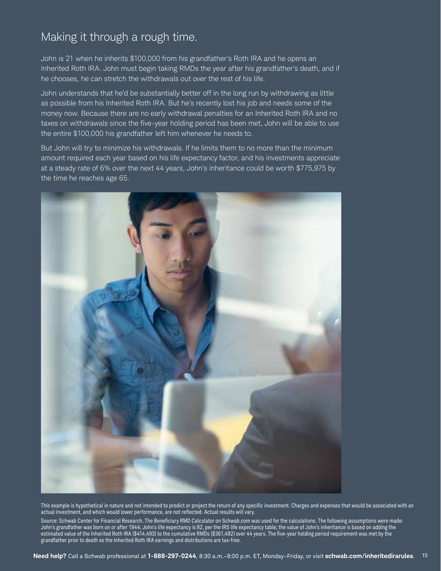### Making it through a rough time.

John is 21 when he inherits \$100,000 from his grandfather's Roth IRA and he opens an Inherited Roth IRA. John must begin taking RMDs the year after his grandfather's death, and if he chooses, he can stretch the withdrawals out over the rest of his life.

John understands that he'd be substantially better off in the long run by withdrawing as little as possible from his Inherited Roth IRA. But he's recently lost his job and needs some of the money now. Because there are no early withdrawal penalties for an Inherited Roth IRA and no taxes on withdrawals since the five-year holding period has been met, John will be able to use the entire \$100,000 his grandfather left him whenever he needs to.

But John will try to minimize his withdrawals. If he limits them to no more than the minimum amount required each year based on his life expectancy factor, and his investments appreciate at a steady rate of 6% over the next 44 years, John's inheritance could be worth \$775,975 by the time he reaches age 65.



This example is hypothetical in nature and not intended to predict or project the return of any specific investment. Charges and expenses that would be associated with an actual investment, and which would lower performance, are not reflected. Actual results will vary.

Source: Schwab Center for Financial Research. The Beneficiary RMD Calculator on Schwab.com was used for the calculations. The following assumptions were made: John's grandfather was born on or after 1944; John's life expectancy is 82, per the IRS life expectancy table; the value of John's inheritance is based on adding the estimated value of the Inherited Roth IRA (\$414,493) to the cumulative RMDs (\$361,482) over 44 years. The five-year holding period requirement was met by the grandfather prior to death so the Inherited Roth IRA earnings and distributions are tax-free.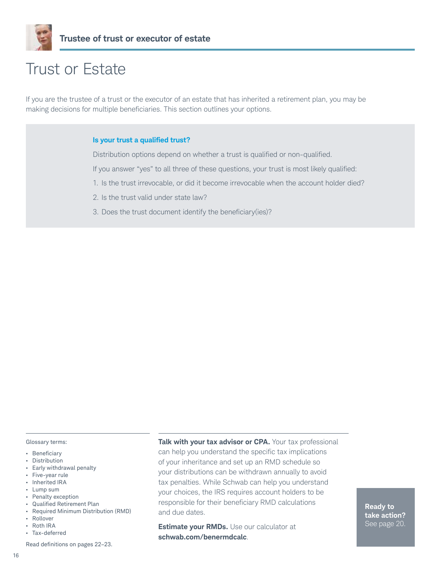

### Trust or Estate

If you are the trustee of a trust or the executor of an estate that has inherited a retirement plan, you may be making decisions for multiple beneficiaries. This section outlines your options.

#### **Is your trust a qualified trust?**

Distribution options depend on whether a trust is qualified or non-qualified.

If you answer "yes" to all three of these questions, your trust is most likely qualified:

- 1. Is the trust irrevocable, or did it become irrevocable when the account holder died?
- 2. Is the trust valid under state law?
- 3. Does the trust document identify the beneficiary(ies)?

#### Glossary terms:

- • Beneficiary
- • Distribution
- Early withdrawal penalty
- • Five-year rule
- • Inherited IRA
- • Lump sum
- • Penalty exception
- • Qualified Retirement Plan
- • Required Minimum Distribution (RMD) • Rollover
- 
- • Roth IRA
- Tax-deferred

Read definitions on pages 22–23.

16

**Talk with your tax advisor or CPA.** Your tax professional can help you understand the specific tax implications of your inheritance and set up an RMD schedule so your distributions can be withdrawn annually to avoid tax penalties. While Schwab can help you understand your choices, the IRS requires account holders to be responsible for their beneficiary RMD calculations and due dates.

**Estimate your RMDs.** Use our calculator at **schwab.com/benermdcalc**.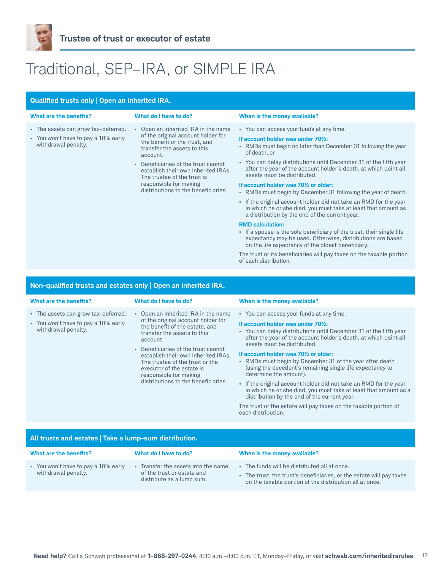

# Traditional, SEP–IRA, or SIMPLE IRA

| Qualified trusts only   Open an Inherited IRA.                                                    |                                                                                                                                                                                                                                                                                                                                       |                                                                                                                                                                                                                                                                                                                                                                                                                                                                                                                                                                                                                                                                                                                                                                                                                                                                                                                                                                     |  |  |
|---------------------------------------------------------------------------------------------------|---------------------------------------------------------------------------------------------------------------------------------------------------------------------------------------------------------------------------------------------------------------------------------------------------------------------------------------|---------------------------------------------------------------------------------------------------------------------------------------------------------------------------------------------------------------------------------------------------------------------------------------------------------------------------------------------------------------------------------------------------------------------------------------------------------------------------------------------------------------------------------------------------------------------------------------------------------------------------------------------------------------------------------------------------------------------------------------------------------------------------------------------------------------------------------------------------------------------------------------------------------------------------------------------------------------------|--|--|
| What are the benefits?                                                                            | What do I have to do?                                                                                                                                                                                                                                                                                                                 | When is the money available?                                                                                                                                                                                                                                                                                                                                                                                                                                                                                                                                                                                                                                                                                                                                                                                                                                                                                                                                        |  |  |
| • The assets can grow tax-deferred.<br>• You won't have to pay a 10% early<br>withdrawal penalty. | Open an Inherited IRA in the name<br>of the original account holder for<br>the benefit of the trust, and<br>transfer the assets to this<br>account.<br>Beneficiaries of the trust cannot<br>×.<br>establish their own Inherited IRAs.<br>The trustee of the trust is<br>responsible for making<br>distributions to the beneficiaries. | • You can access your funds at any time.<br>If account holder was under 701/2:<br>• RMDs must begin no later than December 31 following the year<br>of death, or<br>• You can delay distributions until December 31 of the fifth year<br>after the year of the account holder's death, at which point all<br>assets must be distributed.<br>If account holder was 701/2 or older:<br>• RMDs must begin by December 31 following the year of death.<br>. If the original account holder did not take an RMD for the year<br>in which he or she died, you must take at least that amount as<br>a distribution by the end of the current year.<br><b>RMD calculation:</b><br>• If a spouse is the sole beneficiary of the trust, their single life<br>expectancy may be used. Otherwise, distributions are based<br>on the life expectancy of the oldest beneficiary.<br>The trust or its beneficiaries will pay taxes on the taxable portion<br>of each distribution. |  |  |
|                                                                                                   |                                                                                                                                                                                                                                                                                                                                       |                                                                                                                                                                                                                                                                                                                                                                                                                                                                                                                                                                                                                                                                                                                                                                                                                                                                                                                                                                     |  |  |

### **Non-qualified trusts and estates only | Open an Inherited IRA.**

| What are the benefits?                                                                            | What do I have to do?                                                                                                                                                                                                                                                                                                                                                 | When is the money available?                                                                                                                                                                                                                                                                                                                                                                                                                                                                                                                                                                                                                                                                                                      |
|---------------------------------------------------------------------------------------------------|-----------------------------------------------------------------------------------------------------------------------------------------------------------------------------------------------------------------------------------------------------------------------------------------------------------------------------------------------------------------------|-----------------------------------------------------------------------------------------------------------------------------------------------------------------------------------------------------------------------------------------------------------------------------------------------------------------------------------------------------------------------------------------------------------------------------------------------------------------------------------------------------------------------------------------------------------------------------------------------------------------------------------------------------------------------------------------------------------------------------------|
| • The assets can grow tax-deferred.<br>• You won't have to pay a 10% early<br>withdrawal penalty. | • Open an Inherited IRA in the name<br>of the original account holder for<br>the benefit of the estate, and<br>transfer the assets to this<br>account.<br>• Beneficiaries of the trust cannot<br>establish their own Inherited IRAs.<br>The trustee of the trust or the<br>executor of the estate is<br>responsible for making<br>distributions to the beneficiaries. | • You can access your funds at any time.<br>If account holder was under 70%:<br>• You can delay distributions until December 31 of the fifth year<br>after the year of the account holder's death, at which point all<br>assets must be distributed.<br>If account holder was 70% or older:<br>• RMDs must begin by December 31 of the year after death<br>(using the decedent's remaining single life expectancy to<br>determine the amount).<br>. If the original account holder did not take an RMD for the year<br>in which he or she died, you must take at least that amount as a<br>distribution by the end of the current year.<br>The trust or the estate will pay taxes on the taxable portion of<br>each distribution. |

### **All trusts and estates | Take a lump-sum distribution.**

| What are the benefits?                                   | What do I have to do?                                                                        | When is the money available?                                                                                                                                                |
|----------------------------------------------------------|----------------------------------------------------------------------------------------------|-----------------------------------------------------------------------------------------------------------------------------------------------------------------------------|
| You won't have to pay a 10% early<br>withdrawal penalty. | Transfer the assets into the name<br>of the trust or estate and<br>distribute as a lump sum. | The funds will be distributed all at once.<br>The trust, the trust's beneficiaries, or the estate will pay taxes<br>on the taxable portion of the distribution all at once. |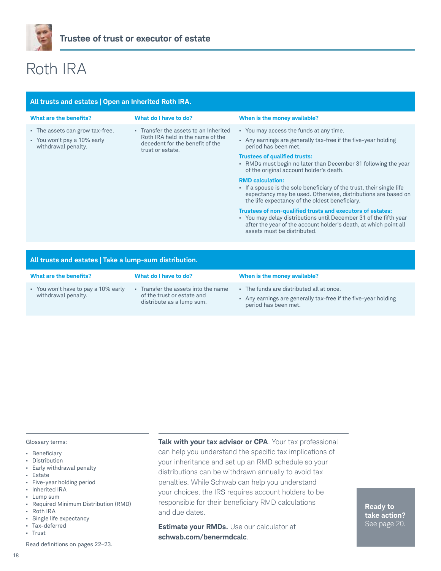

# Roth IRA

| All trusts and estates   Open an Inherited Roth IRA.                                  |                                                                                                                                  |                                                                                                                                                                                                                                                                                                                                                                                                                                                                                                                                                                                                                                                                                                                                                   |  |  |
|---------------------------------------------------------------------------------------|----------------------------------------------------------------------------------------------------------------------------------|---------------------------------------------------------------------------------------------------------------------------------------------------------------------------------------------------------------------------------------------------------------------------------------------------------------------------------------------------------------------------------------------------------------------------------------------------------------------------------------------------------------------------------------------------------------------------------------------------------------------------------------------------------------------------------------------------------------------------------------------------|--|--|
| What are the benefits?                                                                | What do I have to do?                                                                                                            | When is the money available?                                                                                                                                                                                                                                                                                                                                                                                                                                                                                                                                                                                                                                                                                                                      |  |  |
| • The assets can grow tax-free.<br>• You won't pay a 10% early<br>withdrawal penalty. | - Transfer the assets to an Inherited<br>Roth IRA held in the name of the<br>decedent for the benefit of the<br>trust or estate. | • You may access the funds at any time.<br>Any earnings are generally tax-free if the five-year holding<br>period has been met.<br><b>Trustees of qualified trusts:</b><br>• RMDs must begin no later than December 31 following the year<br>of the original account holder's death.<br><b>RMD calculation:</b><br>• If a spouse is the sole beneficiary of the trust, their single life<br>expectancy may be used. Otherwise, distributions are based on<br>the life expectancy of the oldest beneficiary.<br>Trustees of non-qualified trusts and executors of estates:<br>• You may delay distributions until December 31 of the fifth year<br>after the year of the account holder's death, at which point all<br>assets must be distributed. |  |  |
|                                                                                       |                                                                                                                                  |                                                                                                                                                                                                                                                                                                                                                                                                                                                                                                                                                                                                                                                                                                                                                   |  |  |
| All trusts and estates   Take a lump-sum distribution.                                |                                                                                                                                  |                                                                                                                                                                                                                                                                                                                                                                                                                                                                                                                                                                                                                                                                                                                                                   |  |  |

| What are the benefits?                                   | What do I have to do?                                                                        | When is the money available?                                                                                                   |
|----------------------------------------------------------|----------------------------------------------------------------------------------------------|--------------------------------------------------------------------------------------------------------------------------------|
| You won't have to pay a 10% early<br>withdrawal penalty. | Transfer the assets into the name<br>of the trust or estate and<br>distribute as a lump sum. | The funds are distributed all at once.<br>Any earnings are generally tax-free if the five-year holding<br>period has been met. |

#### Glossary terms:

- • Beneficiary
- • Distribution
- • Early withdrawal penalty
- Estate
- • Five-year holding period
- Inherited IRA
- • Lump sum
- • Required Minimum Distribution (RMD)
- • Roth IRA
- • Single life expectancy • Tax-deferred
- Trust
- 

Read definitions on pages 22–23.

18

**Talk with your tax advisor or CPA**. Your tax professional can help you understand the specific tax implications of your inheritance and set up an RMD schedule so your distributions can be withdrawn annually to avoid tax penalties. While Schwab can help you understand your choices, the IRS requires account holders to be responsible for their beneficiary RMD calculations and due dates.

**Estimate your RMDs.** Use our calculator at **schwab.com/benermdcalc**.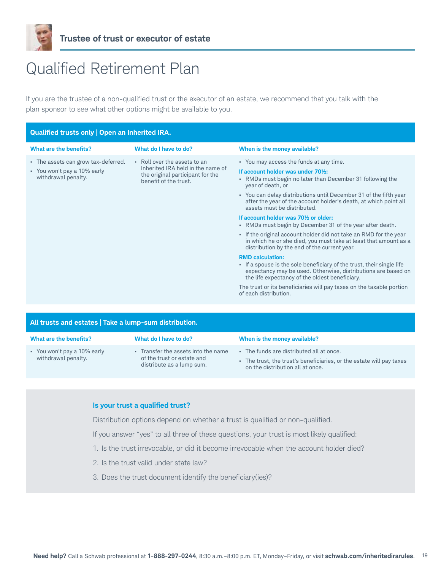

### Qualified Retirement Plan

If you are the trustee of a non-qualified trust or the executor of an estate, we recommend that you talk with the plan sponsor to see what other options might be available to you.

| Qualified trusts only   Open an Inherited IRA.                                            |                                                                                                                                |                                                                                                                                                                                                                                                                                                                                                                                                                                                                                                                                                                                                                                                                                                                                                                                                                                                                                                                                                              |  |
|-------------------------------------------------------------------------------------------|--------------------------------------------------------------------------------------------------------------------------------|--------------------------------------------------------------------------------------------------------------------------------------------------------------------------------------------------------------------------------------------------------------------------------------------------------------------------------------------------------------------------------------------------------------------------------------------------------------------------------------------------------------------------------------------------------------------------------------------------------------------------------------------------------------------------------------------------------------------------------------------------------------------------------------------------------------------------------------------------------------------------------------------------------------------------------------------------------------|--|
| What are the benefits?                                                                    | What do I have to do?                                                                                                          | When is the money available?                                                                                                                                                                                                                                                                                                                                                                                                                                                                                                                                                                                                                                                                                                                                                                                                                                                                                                                                 |  |
| • The assets can grow tax-deferred.<br>• You won't pay a 10% early<br>withdrawal penalty. | • Roll over the assets to an<br>Inherited IRA held in the name of<br>the original participant for the<br>benefit of the trust. | • You may access the funds at any time.<br>If account holder was under 70%:<br>• RMDs must begin no later than December 31 following the<br>year of death, or<br>• You can delay distributions until December 31 of the fifth year<br>after the year of the account holder's death, at which point all<br>assets must be distributed.<br>If account holder was 701/2 or older:<br>• RMDs must begin by December 31 of the year after death.<br>. If the original account holder did not take an RMD for the year<br>in which he or she died, you must take at least that amount as a<br>distribution by the end of the current year.<br><b>RMD</b> calculation:<br>• If a spouse is the sole beneficiary of the trust, their single life<br>expectancy may be used. Otherwise, distributions are based on<br>the life expectancy of the oldest beneficiary.<br>The trust or its beneficiaries will pay taxes on the taxable portion<br>of each distribution. |  |

| All trusts and estates   Take a lump-sum distribution. |                                                                                                |                                                                                                                                                                    |  |
|--------------------------------------------------------|------------------------------------------------------------------------------------------------|--------------------------------------------------------------------------------------------------------------------------------------------------------------------|--|
| What are the benefits?                                 | What do I have to do?                                                                          | When is the money available?                                                                                                                                       |  |
| • You won't pay a 10% early<br>withdrawal penalty.     | • Transfer the assets into the name<br>of the trust or estate and<br>distribute as a lump sum. | The funds are distributed all at once.<br>$\mathbf{r}$<br>• The trust, the trust's beneficiaries, or the estate will pay taxes<br>on the distribution all at once. |  |

### **Is your trust a qualified trust?**

Distribution options depend on whether a trust is qualified or non-qualified.

If you answer "yes" to all three of these questions, your trust is most likely qualified:

- 1. Is the trust irrevocable, or did it become irrevocable when the account holder died?
- 2. Is the trust valid under state law?
- 3. Does the trust document identify the beneficiary(ies)?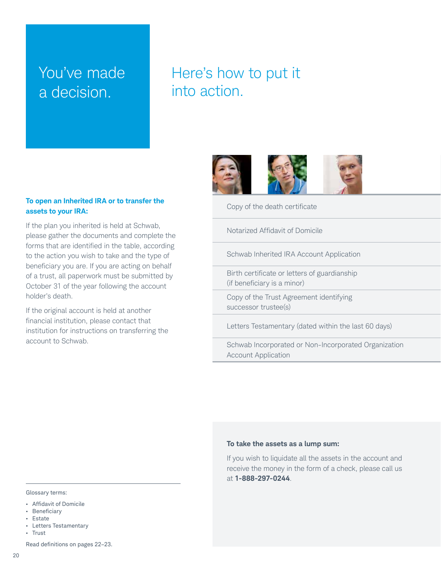### You've made a decision.

### Here's how to put it into action.



### **To open an Inherited IRA or to transfer the assets to your IRA:**

If the plan you inherited is held at Schwab, please gather the documents and complete the forms that are identified in the table, according to the action you wish to take and the type of beneficiary you are. If you are acting on behalf of a trust, all paperwork must be submitted by October 31 of the year following the account holder's death.

If the original account is held at another financial institution, please contact that institution for instructions on transferring the account to Schwab.

Copy of the death certificate

Notarized Affidavit of Domicile

Schwab Inherited IRA Account Application

Birth certificate or letters of guardianship (if beneficiary is a minor)

Copy of the Trust Agreement identifying successor trustee(s) and the matrix of the successor trustee(s)

Letters Testamentary (dated within the last 60 days)

Schwab Incorporated or Non-Incorporated Organization Borman mode por alcommodely polarical organization<br>Account Application

#### **To take the assets as a lump sum:**

If you wish to liquidate all the assets in the account and receive the money in the form of a check, please call us at **1-888-297-0244**.

#### Glossary terms:

- • Affidavit of Domicile
- • Beneficiary
- Estate

Read definitions on pages 22–23.

<sup>•</sup> Letters Testamentary • Trust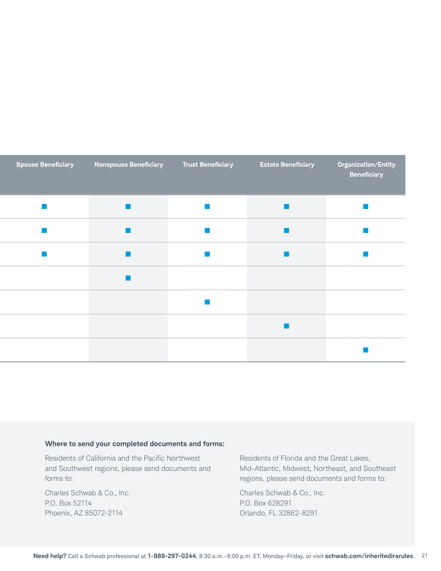| <b>Spouse Beneficiary</b> | <b>Nonspouse Beneficiary</b> | <b>Trust Beneficiary</b>    | <b>Estate Beneficiary</b>   | Organization/Entity<br><b>Beneficiary</b> |
|---------------------------|------------------------------|-----------------------------|-----------------------------|-------------------------------------------|
|                           |                              | $\mathbb{R}^3$              | $\mathcal{L}_{\mathcal{A}}$ | <b>College</b>                            |
|                           |                              | $\mathcal{L}_{\mathcal{A}}$ | <b>College</b>              | $\mathcal{L}_{\rm{max}}$                  |
|                           |                              | <b>I</b>                    | $\sim$                      |                                           |
|                           |                              |                             |                             |                                           |
|                           |                              | $\mathbb{R}^3$              |                             |                                           |
|                           |                              |                             | <b>College</b>              |                                           |
|                           |                              |                             |                             |                                           |

### **Where to send your completed documents and forms:**

Residents of California and the Pacific Northwest and Southwest regions, please send documents and forms to:

Charles Schwab & Co., Inc. P.O. Box 52114 Phoenix, AZ 85072-2114

Residents of Florida and the Great Lakes, Mid-Atlantic, Midwest, Northeast, and Southeast regions, please send documents and forms to:

Charles Schwab & Co., Inc. P.O. Box 628291 Orlando, FL 32862-8291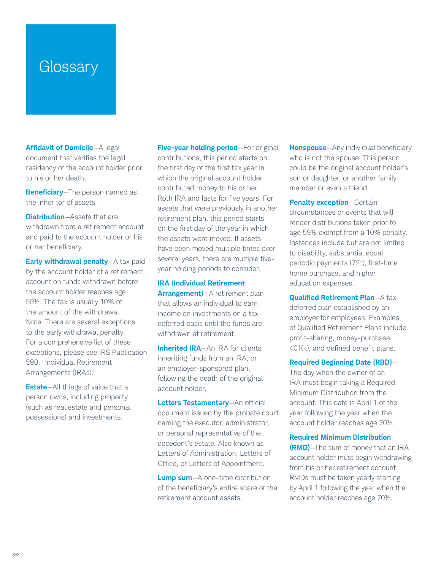### **Glossary**

**Affidavit of Domicile**—A legal document that verifies the legal residency of the account holder prior to his or her death.

**Beneficiary**—The person named as the inheritor of assets.

**Distribution**—Assets that are withdrawn from a retirement account and paid to the account holder or his or her beneficiary.

**Early withdrawal penalty**—A tax paid by the account holder of a retirement account on funds withdrawn before the account holder reaches age 59½. The tax is usually 10% of the amount of the withdrawal. Note: There are several exceptions to the early withdrawal penalty. For a comprehensive list of these exceptions, please see IRS Publication 590, "Individual Retirement Arrangements (IRAs)."

**Estate**—All things of value that a person owns, including property (such as real estate and personal possessions) and investments.

**Five-year holding period**—For original contributions, this period starts on the first day of the first tax year in which the original account holder contributed money to his or her Roth IRA and lasts for five years. For assets that were previously in another retirement plan, this period starts on the first day of the year in which the assets were moved. If assets have been moved multiple times over several years, there are multiple fiveyear holding periods to consider.

**IRA (Individual Retirement Arrangement)**—A retirement plan that allows an individual to earn income on investments on a taxdeferred basis until the funds are withdrawn at retirement.

**Inherited IRA**—An IRA for clients inheriting funds from an IRA, or an employer-sponsored plan, following the death of the original account holder.

**Letters Testamentary**—An official document issued by the probate court naming the executor, administrator, or personal representative of the decedent's estate. Also known as Letters of Administration, Letters of Office, or Letters of Appointment.

**Lump sum**—A one-time distribution of the beneficiary's entire share of the retirement account assets.

**Nonspouse**—Any individual beneficiary who is not the spouse. This person could be the original account holder's son or daughter, or another family member or even a friend.

**Penalty exception**—Certain circumstances or events that will render distributions taken prior to age 59½ exempt from a 10% penalty. Instances include but are not limited to disability, substantial equal periodic payments (72t), first-time home purchase, and higher education expenses.

**Qualified Retirement Plan**—A taxdeferred plan established by an employer for employees. Examples of Qualified Retirement Plans include profit-sharing, money-purchase, 401(k), and defined benefit plans.

### **Required Beginning Date (RBD)**—

The day when the owner of an IRA must begin taking a Required Minimum Distribution from the account. This date is April 1 of the year following the year when the account holder reaches age 70½.

#### **Required Minimum Distribution**

**(RMD)**—The sum of money that an IRA account holder must begin withdrawing from his or her retirement account. RMDs must be taken yearly starting by April 1 following the year when the account holder reaches age 70½.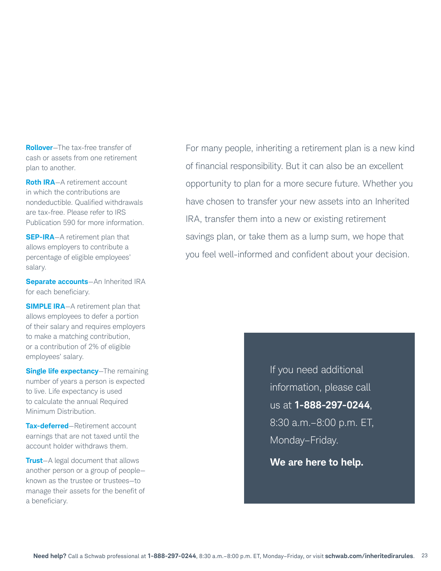**Rollover**—The tax-free transfer of cash or assets from one retirement plan to another.

**Roth IRA**-A retirement account in which the contributions are nondeductible. Qualified withdrawals are tax-free. Please refer to IRS Publication 590 for more information.

**SEP-IRA**—A retirement plan that allows employers to contribute a percentage of eligible employees' salary.

**Separate accounts**—An Inherited IRA for each beneficiary.

**SIMPLE IRA-A retirement plan that** allows employees to defer a portion of their salary and requires employers to make a matching contribution, or a contribution of 2% of eligible employees' salary.

**Single life expectancy**—The remaining number of years a person is expected to live. Life expectancy is used to calculate the annual Required Minimum Distribution.

**Tax-deferred**—Retirement account earnings that are not taxed until the account holder withdraws them.

**Trust**—A legal document that allows another person or a group of people known as the trustee or trustees—to manage their assets for the benefit of a beneficiary.

For many people, inheriting a retirement plan is a new kind of financial responsibility. But it can also be an excellent opportunity to plan for a more secure future. Whether you have chosen to transfer your new assets into an Inherited IRA, transfer them into a new or existing retirement savings plan, or take them as a lump sum, we hope that you feel well-informed and confident about your decision.

> If you need additional information, please call us at **1-888-297-0244**, 8:30 a.m.–8:00 p.m. ET, Monday–Friday.

**We are here to help.**